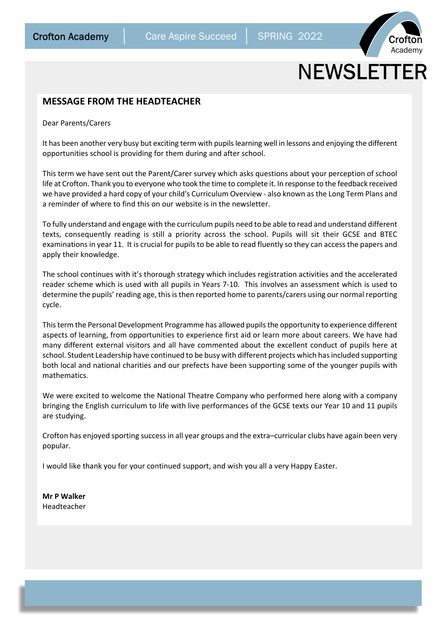

# **NEWSLETTER**

## **MESSAGE FROM THE HEADTEACHER**

Dear Parents/Carers

It has been another very busy but exciting term with pupils learning well in lessons and enjoying the different opportunities school is providing for them during and after school.

This term we have sent out the Parent/Carer survey which asks questions about your perception of school life at Crofton. Thank you to everyone who took the time to complete it. In response to the feedback received we have provided a hard copy of your child's Curriculum Overview - also known as the Long Term Plans and a reminder of where to find this on our website is in the newsletter.

To fully understand and engage with the curriculum pupils need to be able to read and understand different texts, consequently reading is still a priority across the school. Pupils will sit their GCSE and BTEC examinations in year 11. It is crucial for pupils to be able to read fluently so they can access the papers and apply their knowledge.

The school continues with it's thorough strategy which includes registration activities and the accelerated reader scheme which is used with all pupils in Years 7-10. This involves an assessment which is used to determine the pupils' reading age, this is then reported home to parents/carers using our normal reporting cycle.

This term the Personal Development Programme has allowed pupils the opportunity to experience different aspects of learning, from opportunities to experience first aid or learn more about careers. We have had many different external visitors and all have commented about the excellent conduct of pupils here at school. Student Leadership have continued to be busy with different projects which has included supporting both local and national charities and our prefects have been supporting some of the younger pupils with mathematics.

We were excited to welcome the National Theatre Company who performed here along with a company bringing the English curriculum to life with live performances of the GCSE texts our Year 10 and 11 pupils are studying.

Crofton has enjoyed sporting success in all year groups and the extra–curricular clubs have again been very popular.

I would like thank you for your continued support, and wish you all a very Happy Easter.

**Mr P Walker** Headteacher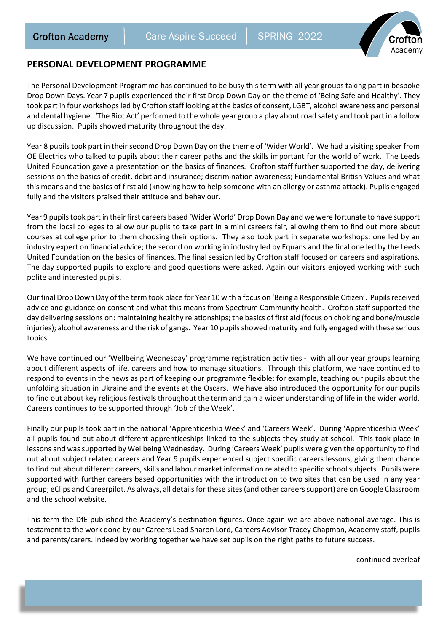

# **PERSONAL DEVELOPMENT PROGRAMME**

The Personal Development Programme has continued to be busy this term with all year groups taking part in bespoke Drop Down Days. Year 7 pupils experienced their first Drop Down Day on the theme of 'Being Safe and Healthy'. They took part in four workshops led by Crofton staff looking at the basics of consent, LGBT, alcohol awareness and personal and dental hygiene. 'The Riot Act' performed to the whole year group a play about road safety and took part in a follow up discussion. Pupils showed maturity throughout the day.

Year 8 pupils took part in their second Drop Down Day on the theme of 'Wider World'. We had a visiting speaker from OE Electrics who talked to pupils about their career paths and the skills important for the world of work. The Leeds United Foundation gave a presentation on the basics of finances. Crofton staff further supported the day, delivering sessions on the basics of credit, debit and insurance; discrimination awareness; Fundamental British Values and what this means and the basics of first aid (knowing how to help someone with an allergy or asthma attack). Pupils engaged fully and the visitors praised their attitude and behaviour.

Year 9 pupils took part in their first careers based 'Wider World' Drop Down Day and we were fortunate to have support from the local colleges to allow our pupils to take part in a mini careers fair, allowing them to find out more about courses at college prior to them choosing their options. They also took part in separate workshops: one led by an industry expert on financial advice; the second on working in industry led by Equans and the final one led by the Leeds United Foundation on the basics of finances. The final session led by Crofton staff focused on careers and aspirations. The day supported pupils to explore and good questions were asked. Again our visitors enjoyed working with such polite and interested pupils.

Our final Drop Down Day of the term took place for Year 10 with a focus on 'Being a Responsible Citizen'. Pupils received advice and guidance on consent and what this means from Spectrum Community health. Crofton staff supported the day delivering sessions on: maintaining healthy relationships; the basics of first aid (focus on choking and bone/muscle injuries); alcohol awareness and the risk of gangs. Year 10 pupils showed maturity and fully engaged with these serious topics.

We have continued our 'Wellbeing Wednesday' programme registration activities - with all our year groups learning about different aspects of life, careers and how to manage situations. Through this platform, we have continued to respond to events in the news as part of keeping our programme flexible: for example, teaching our pupils about the unfolding situation in Ukraine and the events at the Oscars. We have also introduced the opportunity for our pupils to find out about key religious festivals throughout the term and gain a wider understanding of life in the wider world. Careers continues to be supported through 'Job of the Week'.

Finally our pupils took part in the national 'Apprenticeship Week' and 'Careers Week'. During 'Apprenticeship Week' all pupils found out about different apprenticeships linked to the subjects they study at school. This took place in lessons and was supported by Wellbeing Wednesday. During 'Careers Week' pupils were given the opportunity to find out about subject related careers and Year 9 pupils experienced subject specific careers lessons, giving them chance to find out about different careers, skills and labour market information related to specific school subjects. Pupils were supported with further careers based opportunities with the introduction to two sites that can be used in any year group; eClips and Careerpilot. As always, all details for these sites (and other careers support) are on Google Classroom and the school website.

This term the DfE published the Academy's destination figures. Once again we are above national average. This is testament to the work done by our Careers Lead Sharon Lord, Careers Advisor Tracey Chapman, Academy staff, pupils and parents/carers. Indeed by working together we have set pupils on the right paths to future success.

continued overleaf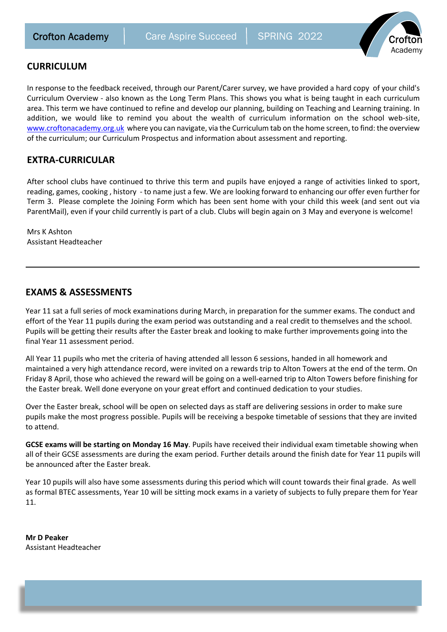

# **CURRICULUM**

In response to the feedback received, through our Parent/Carer survey, we have provided a hard copy of your child's Curriculum Overview - also known as the Long Term Plans. This shows you what is being taught in each curriculum area. This term we have continued to refine and develop our planning, building on Teaching and Learning training. In addition, we would like to remind you about the wealth of curriculum information on the school web-site, www.croftonacademy.org.uk where you can navigate, via the Curriculum tab on the home screen, to find: the overview of the curriculum; our Curriculum Prospectus and information about assessment and reporting.

# **EXTRA-CURRICULAR**

After school clubs have continued to thrive this term and pupils have enjoyed a range of activities linked to sport, reading, games, cooking , history - to name just a few. We are looking forward to enhancing our offer even further for Term 3. Please complete the Joining Form which has been sent home with your child this week (and sent out via ParentMail), even if your child currently is part of a club. Clubs will begin again on 3 May and everyone is welcome!

Mrs K Ashton Assistant Headteacher

# **EXAMS & ASSESSMENTS**

Year 11 sat a full series of mock examinations during March, in preparation for the summer exams. The conduct and effort of the Year 11 pupils during the exam period was outstanding and a real credit to themselves and the school. Pupils will be getting their results after the Easter break and looking to make further improvements going into the final Year 11 assessment period.

All Year 11 pupils who met the criteria of having attended all lesson 6 sessions, handed in all homework and maintained a very high attendance record, were invited on a rewards trip to Alton Towers at the end of the term. On Friday 8 April, those who achieved the reward will be going on a well-earned trip to Alton Towers before finishing for the Easter break. Well done everyone on your great effort and continued dedication to your studies.

Over the Easter break, school will be open on selected days as staff are delivering sessions in order to make sure pupils make the most progress possible. Pupils will be receiving a bespoke timetable of sessions that they are invited to attend.

**GCSE exams will be starting on Monday 16 May**. Pupils have received their individual exam timetable showing when all of their GCSE assessments are during the exam period. Further details around the finish date for Year 11 pupils will be announced after the Easter break.

Year 10 pupils will also have some assessments during this period which will count towards their final grade. As well as formal BTEC assessments, Year 10 will be sitting mock exams in a variety of subjects to fully prepare them for Year 11.

**Mr D Peaker** Assistant Headteacher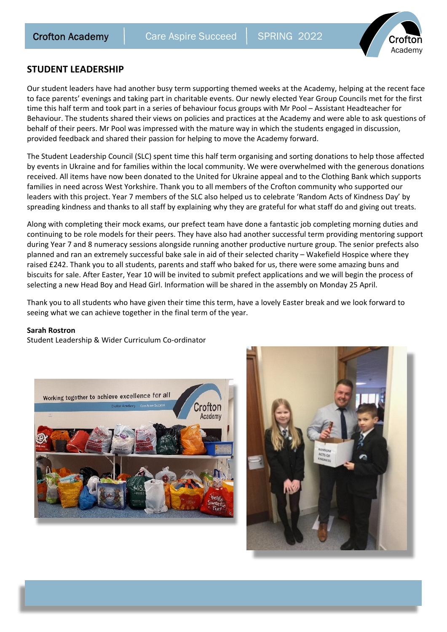

## **STUDENT LEADERSHIP**

Our student leaders have had another busy term supporting themed weeks at the Academy, helping at the recent face to face parents' evenings and taking part in charitable events. Our newly elected Year Group Councils met for the first time this half term and took part in a series of behaviour focus groups with Mr Pool – Assistant Headteacher for Behaviour. The students shared their views on policies and practices at the Academy and were able to ask questions of behalf of their peers. Mr Pool was impressed with the mature way in which the students engaged in discussion, provided feedback and shared their passion for helping to move the Academy forward.

The Student Leadership Council (SLC) spent time this half term organising and sorting donations to help those affected by events in Ukraine and for families within the local community. We were overwhelmed with the generous donations received. All items have now been donated to the United for Ukraine appeal and to the Clothing Bank which supports families in need across West Yorkshire. Thank you to all members of the Crofton community who supported our leaders with this project. Year 7 members of the SLC also helped us to celebrate 'Random Acts of Kindness Day' by spreading kindness and thanks to all staff by explaining why they are grateful for what staff do and giving out treats.

Along with completing their mock exams, our prefect team have done a fantastic job completing morning duties and continuing to be role models for their peers. They have also had another successful term providing mentoring support during Year 7 and 8 numeracy sessions alongside running another productive nurture group. The senior prefects also planned and ran an extremely successful bake sale in aid of their selected charity – Wakefield Hospice where they raised £242. Thank you to all students, parents and staff who baked for us, there were some amazing buns and biscuits for sale. After Easter, Year 10 will be invited to submit prefect applications and we will begin the process of selecting a new Head Boy and Head Girl. Information will be shared in the assembly on Monday 25 April.

Thank you to all students who have given their time this term, have a lovely Easter break and we look forward to seeing what we can achieve together in the final term of the year.

#### **Sarah Rostron**

Student Leadership & Wider Curriculum Co-ordinator



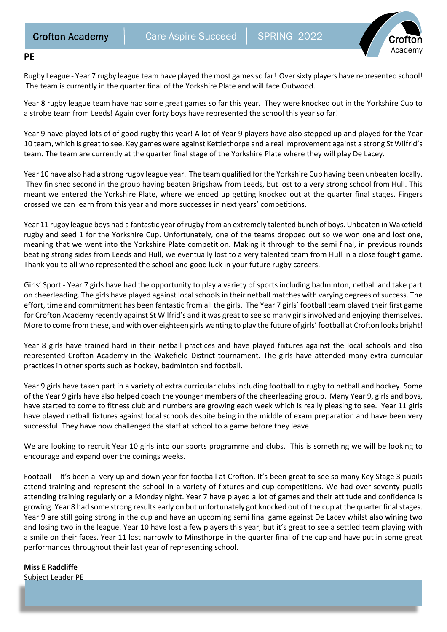

#### **PE**

Rugby League - Year 7 rugby league team have played the most games so far! Over sixty players have represented school! The team is currently in the quarter final of the Yorkshire Plate and will face Outwood.

Year 8 rugby league team have had some great games so far this year. They were knocked out in the Yorkshire Cup to a strobe team from Leeds! Again over forty boys have represented the school this year so far!

Year 9 have played lots of of good rugby this year! A lot of Year 9 players have also stepped up and played for the Year 10 team, which is great to see. Key games were against Kettlethorpe and a real improvement against a strong St Wilfrid's team. The team are currently at the quarter final stage of the Yorkshire Plate where they will play De Lacey.

Year 10 have also had a strong rugby league year. The team qualified for the Yorkshire Cup having been unbeaten locally. They finished second in the group having beaten Brigshaw from Leeds, but lost to a very strong school from Hull. This meant we entered the Yorkshire Plate, where we ended up getting knocked out at the quarter final stages. Fingers crossed we can learn from this year and more successes in next years' competitions.

Year 11 rugby league boys had a fantastic year of rugby from an extremely talented bunch of boys. Unbeaten in Wakefield rugby and seed 1 for the Yorkshire Cup. Unfortunately, one of the teams dropped out so we won one and lost one, meaning that we went into the Yorkshire Plate competition. Making it through to the semi final, in previous rounds beating strong sides from Leeds and Hull, we eventually lost to a very talented team from Hull in a close fought game. Thank you to all who represented the school and good luck in your future rugby careers.

Girls' Sport - Year 7 girls have had the opportunity to play a variety of sports including badminton, netball and take part on cheerleading. The girls have played against local schools in their netball matches with varying degrees of success. The effort, time and commitment has been fantastic from all the girls. The Year 7 girls' football team played their first game for Crofton Academy recently against St Wilfrid's and it was great to see so many girls involved and enjoying themselves. More to come from these, and with over eighteen girls wanting to play the future of girls' football at Crofton looks bright!

Year 8 girls have trained hard in their netball practices and have played fixtures against the local schools and also represented Crofton Academy in the Wakefield District tournament. The girls have attended many extra curricular practices in other sports such as hockey, badminton and football.

Year 9 girls have taken part in a variety of extra curricular clubs including football to rugby to netball and hockey. Some of the Year 9 girls have also helped coach the younger members of the cheerleading group. Many Year 9, girls and boys, have started to come to fitness club and numbers are growing each week which is really pleasing to see. Year 11 girls have played netball fixtures against local schools despite being in the middle of exam preparation and have been very successful. They have now challenged the staff at school to a game before they leave.

We are looking to recruit Year 10 girls into our sports programme and clubs. This is something we will be looking to encourage and expand over the comings weeks.

Football - It's been a very up and down year for football at Crofton. It's been great to see so many Key Stage 3 pupils attend training and represent the school in a variety of fixtures and cup competitions. We had over seventy pupils attending training regularly on a Monday night. Year 7 have played a lot of games and their attitude and confidence is growing. Year 8 had some strong results early on but unfortunately got knocked out of the cup at the quarter final stages. Year 9 are still going strong in the cup and have an upcoming semi final game against De Lacey whilst also wining two and losing two in the league. Year 10 have lost a few players this year, but it's great to see a settled team playing with a smile on their faces. Year 11 lost narrowly to Minsthorpe in the quarter final of the cup and have put in some great performances throughout their last year of representing school.

**Miss E Radcliffe** Subject Leader PE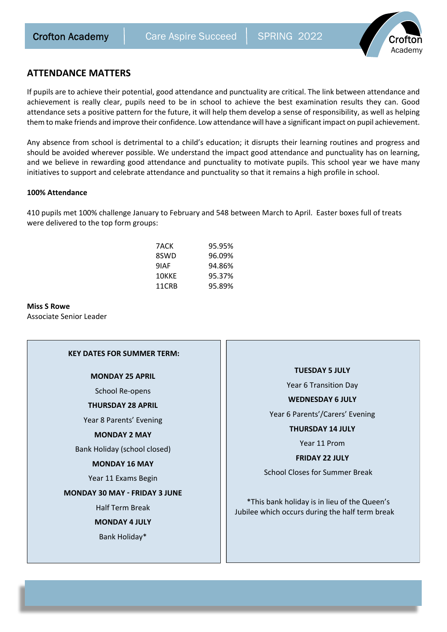

## **ATTENDANCE MATTERS**

If pupils are to achieve their potential, good attendance and punctuality are critical. The link between attendance and achievement is really clear, pupils need to be in school to achieve the best examination results they can. Good attendance sets a positive pattern for the future, it will help them develop a sense of responsibility, as well as helping them to make friends and improve their confidence. Low attendance will have a significant impact on pupil achievement.

Any absence from school is detrimental to a child's education; it disrupts their learning routines and progress and should be avoided wherever possible. We understand the impact good attendance and punctuality has on learning, and we believe in rewarding good attendance and punctuality to motivate pupils. This school year we have many initiatives to support and celebrate attendance and punctuality so that it remains a high profile in school.

#### **100% Attendance**

410 pupils met 100% challenge January to February and 548 between March to April. Easter boxes full of treats were delivered to the top form groups:

| 7ACK  | 95.95% |
|-------|--------|
| 8SWD  | 96.09% |
| 9IAF  | 94.86% |
| 10KKE | 95.37% |
| 11CRB | 95.89% |

**Miss S Rowe** Associate Senior Leader

#### **KEY DATES FOR SUMMER TERM:**

**MONDAY 25 APRIL**

School Re-opens

#### **THURSDAY 28 APRIL**

Year 8 Parents' Evening

#### **MONDAY 2 MAY**

Bank Holiday (school closed)

#### **MONDAY 16 MAY**

Year 11 Exams Begin

#### **MONDAY 30 MAY � FRIDAY 3 JUNE**

Half Term Break

**MONDAY 4 JULY**

Bank Holiday\*

#### **TUESDAY 5 JULY**

Year 6 Transition Day

#### **WEDNESDAY 6 JULY**

Year 6 Parents'/Carers' Evening

**THURSDAY 14 JULY**

Year 11 Prom

**FRIDAY 22 JULY**

School Closes for Summer Break

 \*This bank holiday is in lieu of the Queen's Jubilee which occurs during the half term break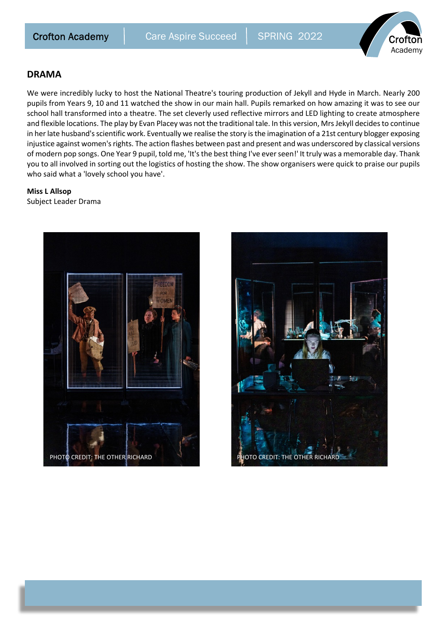

## **DRAMA**

We were incredibly lucky to host the National Theatre's touring production of Jekyll and Hyde in March. Nearly 200 pupils from Years 9, 10 and 11 watched the show in our main hall. Pupils remarked on how amazing it was to see our school hall transformed into a theatre. The set cleverly used reflective mirrors and LED lighting to create atmosphere and flexible locations. The play by Evan Placey was not the traditional tale. In this version, Mrs Jekyll decides to continue in her late husband's scientific work. Eventually we realise the story is the imagination of a 21st century blogger exposing injustice against women's rights. The action flashes between past and present and was underscored by classical versions of modern pop songs. One Year 9 pupil, told me, 'It's the best thing I've ever seen!' It truly was a memorable day. Thank you to all involved in sorting out the logistics of hosting the show. The show organisers were quick to praise our pupils who said what a 'lovely school you have'.

## **Miss L Allsop**

Subject Leader Drama



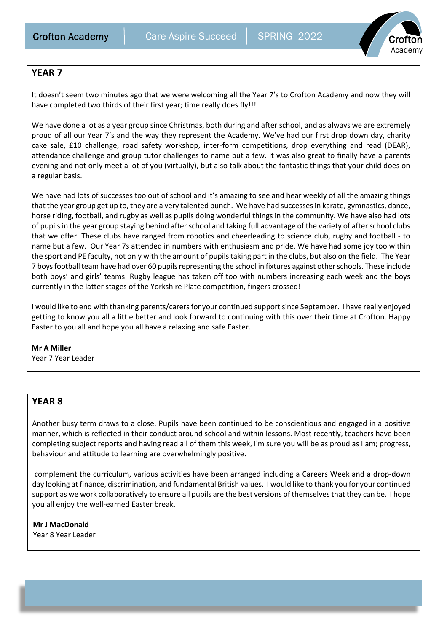

# **YEAR 7**

It doesn't seem two minutes ago that we were welcoming all the Year 7's to Crofton Academy and now they will have completed two thirds of their first year; time really does fly!!!

We have done a lot as a year group since Christmas, both during and after school, and as always we are extremely proud of all our Year 7's and the way they represent the Academy. We've had our first drop down day, charity cake sale, £10 challenge, road safety workshop, inter-form competitions, drop everything and read (DEAR), attendance challenge and group tutor challenges to name but a few. It was also great to finally have a parents evening and not only meet a lot of you (virtually), but also talk about the fantastic things that your child does on a regular basis.

We have had lots of successes too out of school and it's amazing to see and hear weekly of all the amazing things that the year group get up to, they are a very talented bunch. We have had successes in karate, gymnastics, dance, horse riding, football, and rugby as well as pupils doing wonderful things in the community. We have also had lots of pupils in the year group staying behind after school and taking full advantage of the variety of after school clubs that we offer. These clubs have ranged from robotics and cheerleading to science club, rugby and football - to name but a few. Our Year 7s attended in numbers with enthusiasm and pride. We have had some joy too within the sport and PE faculty, not only with the amount of pupils taking part in the clubs, but also on the field. The Year 7 boys football team have had over 60 pupils representing the school in fixtures against other schools. These include both boys' and girls' teams. Rugby league has taken off too with numbers increasing each week and the boys currently in the latter stages of the Yorkshire Plate competition, fingers crossed!

I would like to end with thanking parents/carers for your continued support since September. I have really enjoyed getting to know you all a little better and look forward to continuing with this over their time at Crofton. Happy Easter to you all and hope you all have a relaxing and safe Easter.

## **Mr A Miller**

Year 7 Year Leader

# **YEAR 8**

Another busy term draws to a close. Pupils have been continued to be conscientious and engaged in a positive manner, which is reflected in their conduct around school and within lessons. Most recently, teachers have been completing subject reports and having read all of them this week, I'm sure you will be as proud as I am; progress, behaviour and attitude to learning are overwhelmingly positive.

 complement the curriculum, various activities have been arranged including a Careers Week and a drop-down day looking at finance, discrimination, and fundamental British values. I would like to thank you for your continued support as we work collaboratively to ensure all pupils are the best versions of themselves that they can be. I hope you all enjoy the well-earned Easter break.

**Mr J MacDonald** Year 8 Year Leader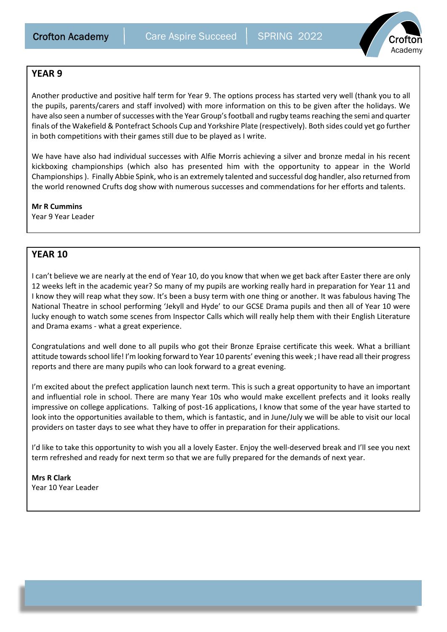

# **YEAR 9**

Another productive and positive half term for Year 9. The options process has started very well (thank you to all the pupils, parents/carers and staff involved) with more information on this to be given after the holidays. We have also seen a number of successes with the Year Group's football and rugby teams reaching the semi and quarter finals of the Wakefield & Pontefract Schools Cup and Yorkshire Plate (respectively). Both sides could yet go further in both competitions with their games still due to be played as I write.

We have have also had individual successes with Alfie Morris achieving a silver and bronze medal in his recent kickboxing championships (which also has presented him with the opportunity to appear in the World Championships ). Finally Abbie Spink, who is an extremely talented and successful dog handler, also returned from the world renowned Crufts dog show with numerous successes and commendations for her efforts and talents.

**Mr R Cummins** Year 9 Year Leader

# **YEAR 10**

I can't believe we are nearly at the end of Year 10, do you know that when we get back after Easter there are only 12 weeks left in the academic year? So many of my pupils are working really hard in preparation for Year 11 and I know they will reap what they sow. It's been a busy term with one thing or another. It was fabulous having The National Theatre in school performing 'Jekyll and Hyde' to our GCSE Drama pupils and then all of Year 10 were lucky enough to watch some scenes from Inspector Calls which will really help them with their English Literature and Drama exams - what a great experience.

Congratulations and well done to all pupils who got their Bronze Epraise certificate this week. What a brilliant attitude towards school life! I'm looking forward to Year 10 parents' evening this week ; I have read all their progress reports and there are many pupils who can look forward to a great evening.

I'm excited about the prefect application launch next term. This is such a great opportunity to have an important and influential role in school. There are many Year 10s who would make excellent prefects and it looks really impressive on college applications. Talking of post-16 applications, I know that some of the year have started to look into the opportunities available to them, which is fantastic, and in June/July we will be able to visit our local providers on taster days to see what they have to offer in preparation for their applications.

I'd like to take this opportunity to wish you all a lovely Easter. Enjoy the well-deserved break and I'll see you next term refreshed and ready for next term so that we are fully prepared for the demands of next year.

**Mrs R Clark** Year 10 Year Leader